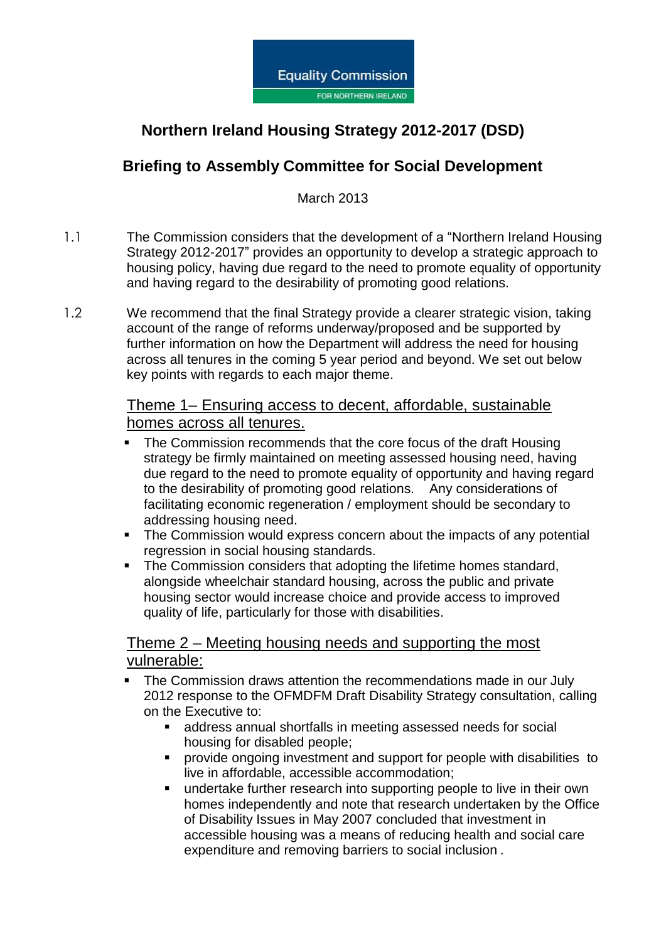

# **Northern Ireland Housing Strategy 2012-2017 (DSD)**

### **Briefing to Assembly Committee for Social Development**

March 2013

- 1.1 The Commission considers that the development of a "Northern Ireland Housing Strategy 2012-2017" provides an opportunity to develop a strategic approach to housing policy, having due regard to the need to promote equality of opportunity and having regard to the desirability of promoting good relations.
- 1.2 We recommend that the final Strategy provide a clearer strategic vision, taking account of the range of reforms underway/proposed and be supported by further information on how the Department will address the need for housing across all tenures in the coming 5 year period and beyond. We set out below key points with regards to each major theme.

#### Theme 1– Ensuring access to decent, affordable, sustainable homes across all tenures.

- The Commission recommends that the core focus of the draft Housing strategy be firmly maintained on meeting assessed housing need, having due regard to the need to promote equality of opportunity and having regard to the desirability of promoting good relations. Any considerations of facilitating economic regeneration / employment should be secondary to addressing housing need.
- The Commission would express concern about the impacts of any potential regression in social housing standards.
- The Commission considers that adopting the lifetime homes standard, alongside wheelchair standard housing, across the public and private housing sector would increase choice and provide access to improved quality of life, particularly for those with disabilities.

#### Theme 2 – Meeting housing needs and supporting the most vulnerable:

- The Commission draws attention the recommendations made in our July 2012 response to the OFMDFM Draft Disability Strategy consultation, calling on the Executive to:
	- address annual shortfalls in meeting assessed needs for social housing for disabled people;
	- **PEDECIST:** provide ongoing investment and support for people with disabilities to live in affordable, accessible accommodation;
	- undertake further research into supporting people to live in their own homes independently and note that research undertaken by the Office of Disability Issues in May 2007 concluded that investment in accessible housing was a means of reducing health and social care expenditure and removing barriers to social inclusion .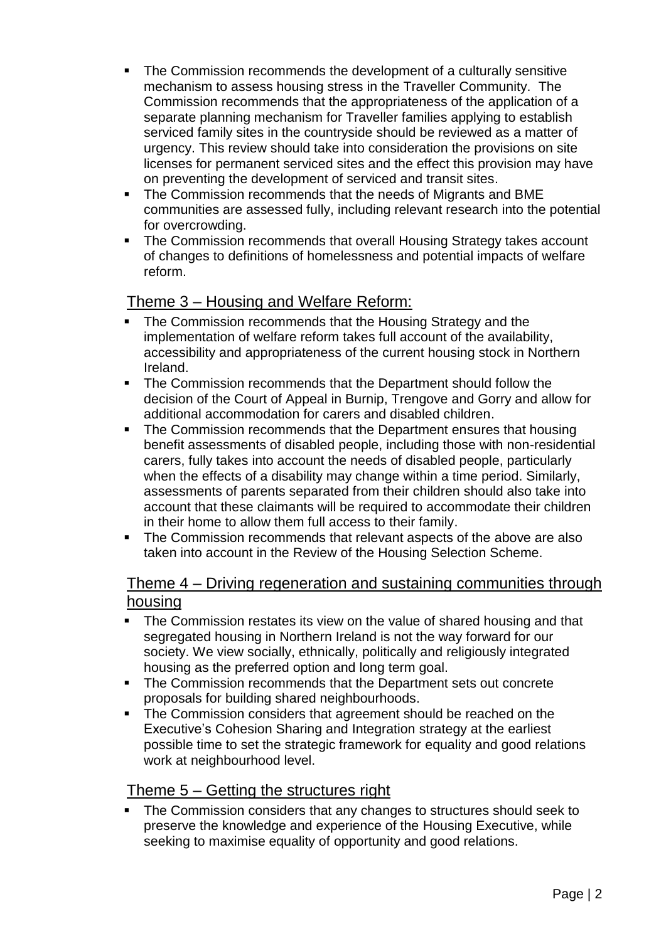- The Commission recommends the development of a culturally sensitive mechanism to assess housing stress in the Traveller Community. The Commission recommends that the appropriateness of the application of a separate planning mechanism for Traveller families applying to establish serviced family sites in the countryside should be reviewed as a matter of urgency. This review should take into consideration the provisions on site licenses for permanent serviced sites and the effect this provision may have on preventing the development of serviced and transit sites.
- The Commission recommends that the needs of Migrants and BME communities are assessed fully, including relevant research into the potential for overcrowding.
- The Commission recommends that overall Housing Strategy takes account of changes to definitions of homelessness and potential impacts of welfare reform.

#### Theme 3 – Housing and Welfare Reform:

- The Commission recommends that the Housing Strategy and the implementation of welfare reform takes full account of the availability, accessibility and appropriateness of the current housing stock in Northern Ireland.
- **The Commission recommends that the Department should follow the** decision of the Court of Appeal in Burnip, Trengove and Gorry and allow for additional accommodation for carers and disabled children.
- The Commission recommends that the Department ensures that housing benefit assessments of disabled people, including those with non-residential carers, fully takes into account the needs of disabled people, particularly when the effects of a disability may change within a time period. Similarly, assessments of parents separated from their children should also take into account that these claimants will be required to accommodate their children in their home to allow them full access to their family.
- The Commission recommends that relevant aspects of the above are also taken into account in the Review of the Housing Selection Scheme.

#### Theme 4 – Driving regeneration and sustaining communities through housing

- The Commission restates its view on the value of shared housing and that segregated housing in Northern Ireland is not the way forward for our society. We view socially, ethnically, politically and religiously integrated housing as the preferred option and long term goal.
- The Commission recommends that the Department sets out concrete proposals for building shared neighbourhoods.
- The Commission considers that agreement should be reached on the Executive's Cohesion Sharing and Integration strategy at the earliest possible time to set the strategic framework for equality and good relations work at neighbourhood level.

#### Theme 5 – Getting the structures right

**The Commission considers that any changes to structures should seek to** preserve the knowledge and experience of the Housing Executive, while seeking to maximise equality of opportunity and good relations.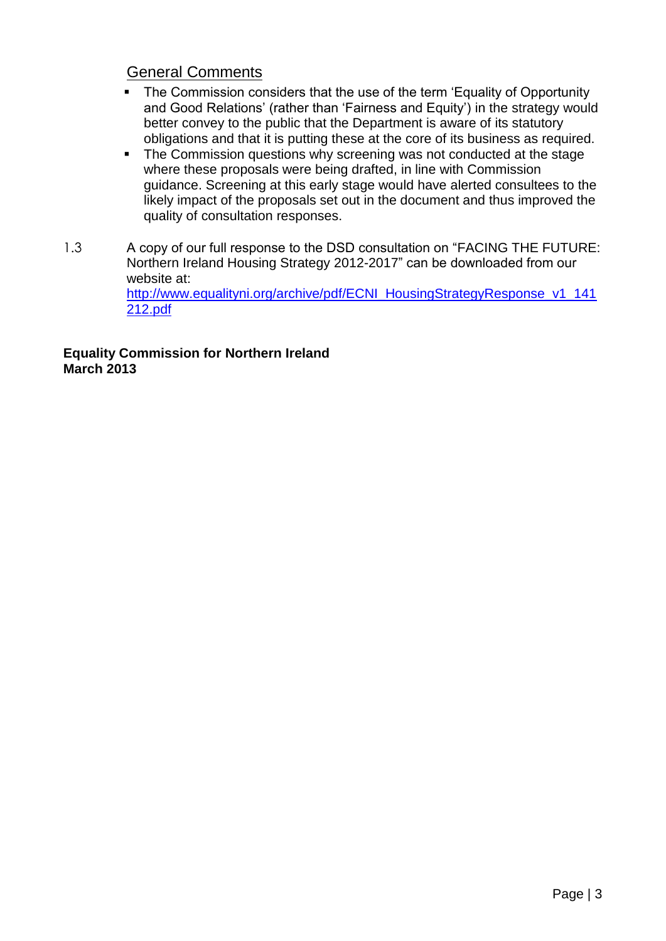### General Comments

- The Commission considers that the use of the term 'Equality of Opportunity and Good Relations' (rather than 'Fairness and Equity') in the strategy would better convey to the public that the Department is aware of its statutory obligations and that it is putting these at the core of its business as required.
- The Commission questions why screening was not conducted at the stage where these proposals were being drafted, in line with Commission guidance. Screening at this early stage would have alerted consultees to the likely impact of the proposals set out in the document and thus improved the quality of consultation responses.
- 1.3 A copy of our full response to the DSD consultation on "FACING THE FUTURE: Northern Ireland Housing Strategy 2012-2017" can be downloaded from our website at: [http://www.equalityni.org/archive/pdf/ECNI\\_HousingStrategyResponse\\_v1\\_141](http://www.equalityni.org/archive/pdf/ECNI_HousingStrategyResponse_v1_141212.pdf) [212.pdf](http://www.equalityni.org/archive/pdf/ECNI_HousingStrategyResponse_v1_141212.pdf)

**Equality Commission for Northern Ireland March 2013**